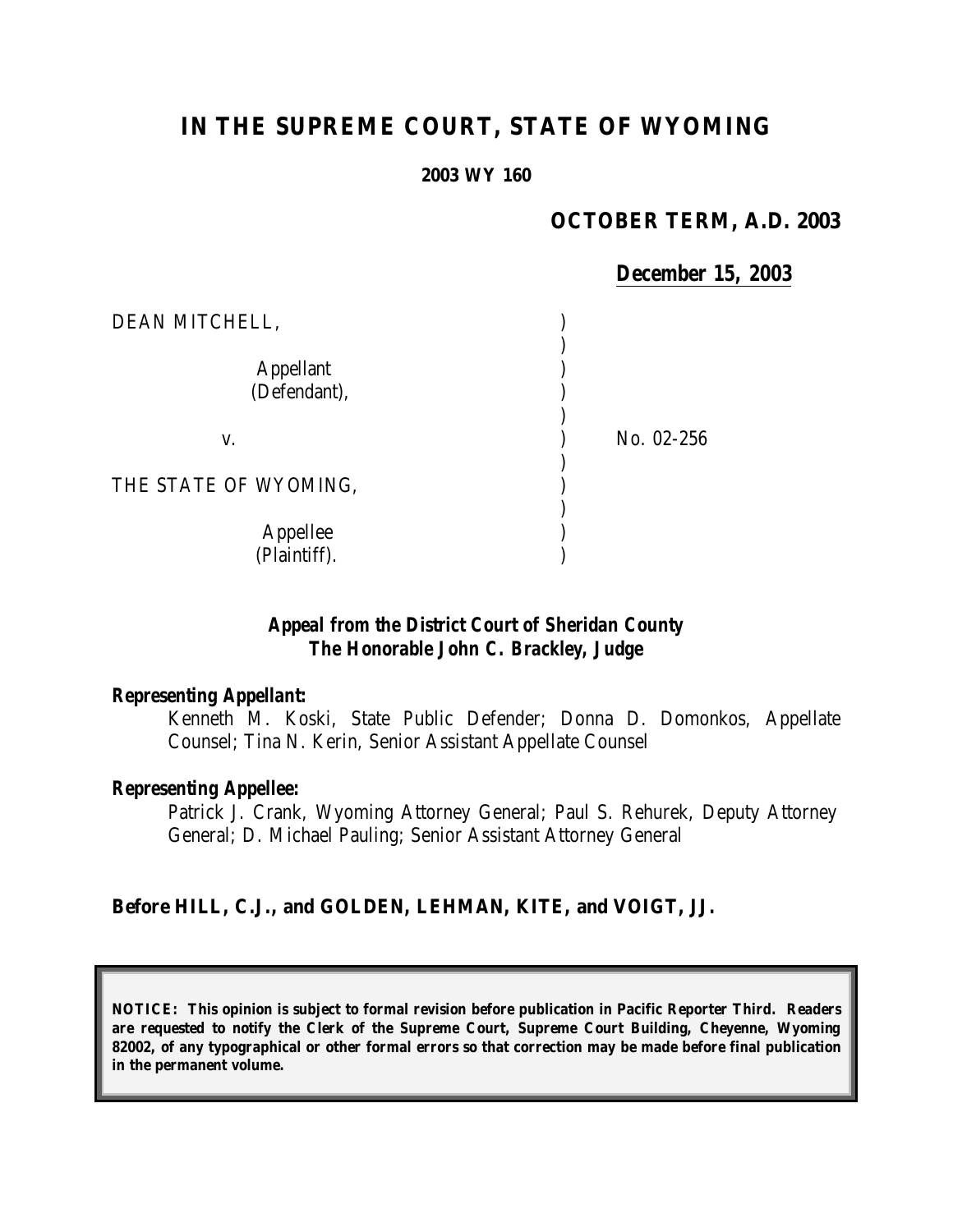# **IN THE SUPREME COURT, STATE OF WYOMING**

#### **2003 WY 160**

## **OCTOBER TERM, A.D. 2003**

### *December 15, 2003*

| DEAN MITCHELL,                   |            |
|----------------------------------|------------|
| <b>Appellant</b><br>(Defendant), |            |
| V.                               | No. 02-256 |
| THE STATE OF WYOMING,            |            |
| Appellee<br>(Plaintiff).         |            |

## *Appeal from the District Court of Sheridan County The Honorable John C. Brackley, Judge*

#### *Representing Appellant:*

Kenneth M. Koski, State Public Defender; Donna D. Domonkos, Appellate Counsel; Tina N. Kerin, Senior Assistant Appellate Counsel

#### *Representing Appellee:*

Patrick J. Crank, Wyoming Attorney General; Paul S. Rehurek, Deputy Attorney General; D. Michael Pauling; Senior Assistant Attorney General

#### **Before HILL, C.J., and GOLDEN, LEHMAN, KITE, and VOIGT, JJ.**

**NOTICE: This opinion is subject to formal revision before publication in Pacific Reporter Third. Readers are requested to notify the Clerk of the Supreme Court, Supreme Court Building, Cheyenne, Wyoming 82002, of any typographical or other formal errors so that correction may be made before final publication in the permanent volume.**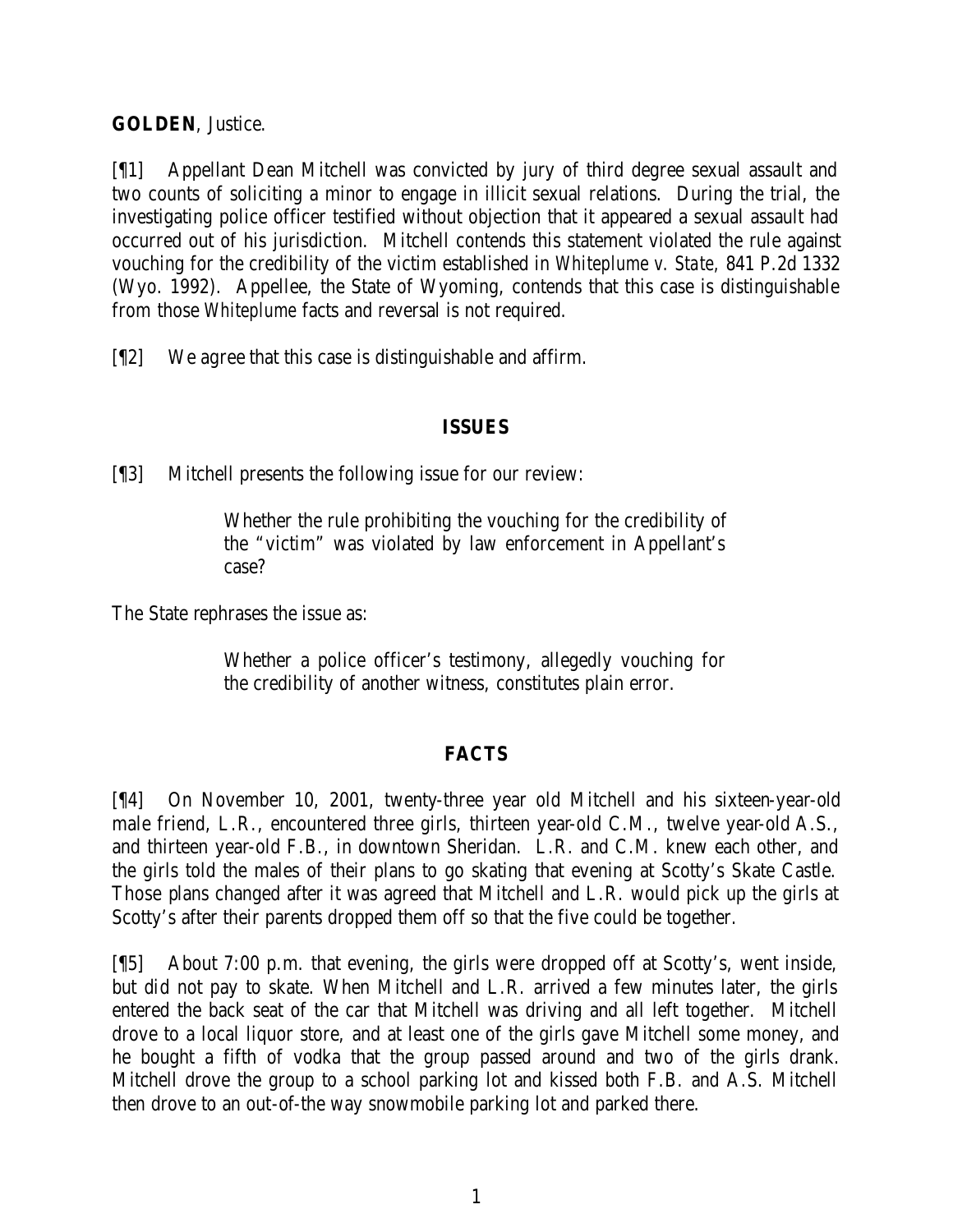**GOLDEN**, Justice.

[¶1] Appellant Dean Mitchell was convicted by jury of third degree sexual assault and two counts of soliciting a minor to engage in illicit sexual relations. During the trial, the investigating police officer testified without objection that it appeared a sexual assault had occurred out of his jurisdiction. Mitchell contends this statement violated the rule against vouching for the credibility of the victim established in *Whiteplume v. State,* 841 P.2d 1332 (Wyo. 1992). Appellee, the State of Wyoming, contends that this case is distinguishable from those *Whiteplume* facts and reversal is not required.

[¶2] We agree that this case is distinguishable and affirm.

## **ISSUES**

[¶3] Mitchell presents the following issue for our review:

Whether the rule prohibiting the vouching for the credibility of the "victim" was violated by law enforcement in Appellant's case?

The State rephrases the issue as:

Whether a police officer's testimony, allegedly vouching for the credibility of another witness, constitutes plain error.

## **FACTS**

[¶4] On November 10, 2001, twenty-three year old Mitchell and his sixteen-year-old male friend, L.R., encountered three girls, thirteen year-old C.M., twelve year-old A.S., and thirteen year-old F.B., in downtown Sheridan. L.R. and C.M. knew each other, and the girls told the males of their plans to go skating that evening at Scotty's Skate Castle. Those plans changed after it was agreed that Mitchell and L.R. would pick up the girls at Scotty's after their parents dropped them off so that the five could be together.

[¶5] About 7:00 p.m. that evening, the girls were dropped off at Scotty's, went inside, but did not pay to skate. When Mitchell and L.R. arrived a few minutes later, the girls entered the back seat of the car that Mitchell was driving and all left together. Mitchell drove to a local liquor store, and at least one of the girls gave Mitchell some money, and he bought a fifth of vodka that the group passed around and two of the girls drank. Mitchell drove the group to a school parking lot and kissed both F.B. and A.S. Mitchell then drove to an out-of-the way snowmobile parking lot and parked there.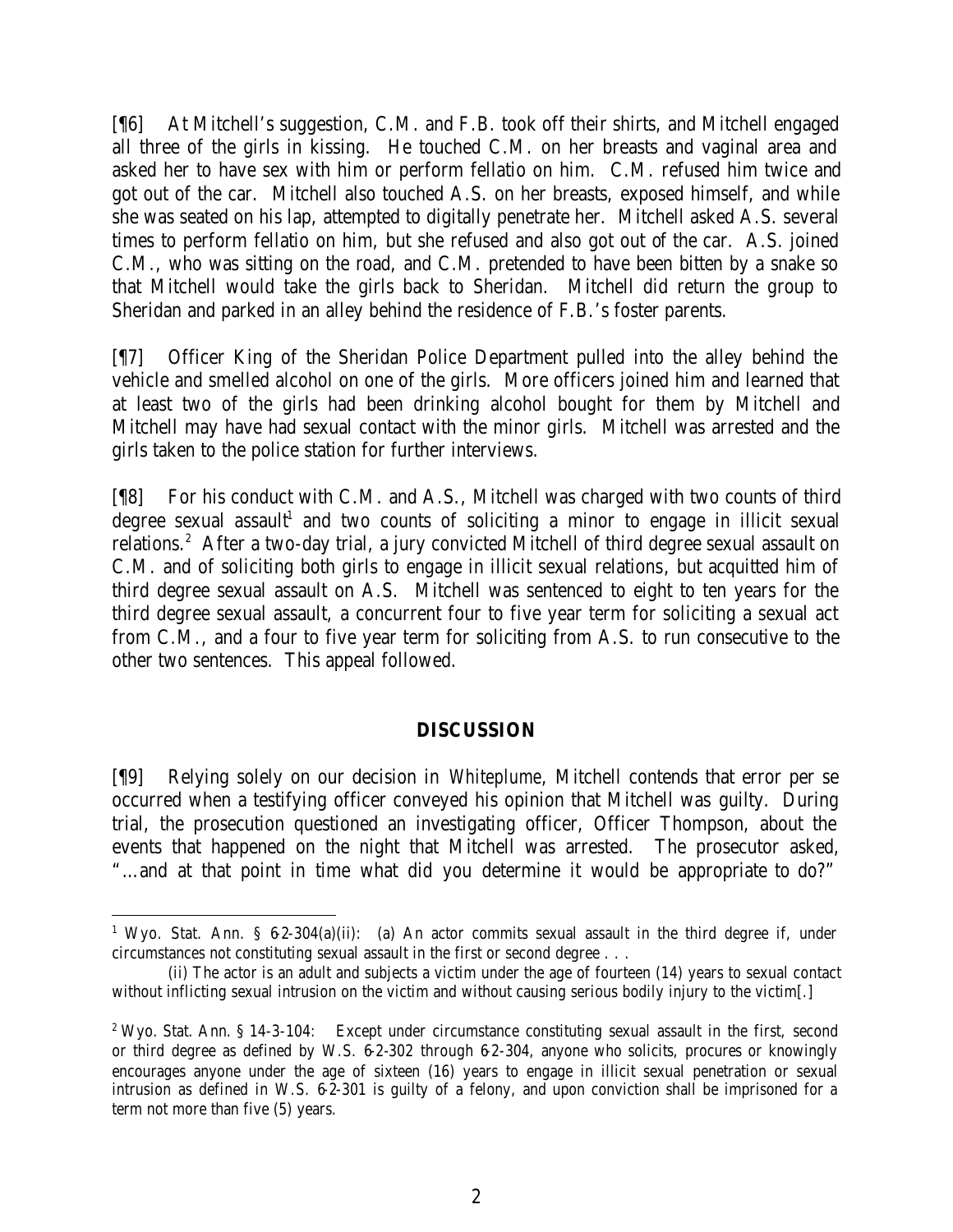[¶6] At Mitchell's suggestion, C.M. and F.B. took off their shirts, and Mitchell engaged all three of the girls in kissing. He touched C.M. on her breasts and vaginal area and asked her to have sex with him or perform fellatio on him. C.M. refused him twice and got out of the car. Mitchell also touched A.S. on her breasts, exposed himself, and while she was seated on his lap, attempted to digitally penetrate her. Mitchell asked A.S. several times to perform fellatio on him, but she refused and also got out of the car. A.S. joined C.M., who was sitting on the road, and C.M. pretended to have been bitten by a snake so that Mitchell would take the girls back to Sheridan. Mitchell did return the group to Sheridan and parked in an alley behind the residence of F.B.'s foster parents.

[¶7] Officer King of the Sheridan Police Department pulled into the alley behind the vehicle and smelled alcohol on one of the girls. More officers joined him and learned that at least two of the girls had been drinking alcohol bought for them by Mitchell and Mitchell may have had sexual contact with the minor girls. Mitchell was arrested and the girls taken to the police station for further interviews.

[¶8] For his conduct with C.M. and A.S., Mitchell was charged with two counts of third degree sexual assault<sup>1</sup> and two counts of soliciting a minor to engage in illicit sexual relations.<sup>2</sup> After a two-day trial, a jury convicted Mitchell of third degree sexual assault on C.M. and of soliciting both girls to engage in illicit sexual relations, but acquitted him of third degree sexual assault on A.S. Mitchell was sentenced to eight to ten years for the third degree sexual assault, a concurrent four to five year term for soliciting a sexual act from C.M., and a four to five year term for soliciting from A.S. to run consecutive to the other two sentences. This appeal followed.

## **DISCUSSION**

[¶9] Relying solely on our decision in *Whiteplume*, Mitchell contends that error per se occurred when a testifying officer conveyed his opinion that Mitchell was guilty. During trial, the prosecution questioned an investigating officer, Officer Thompson, about the events that happened on the night that Mitchell was arrested. The prosecutor asked, "…and at that point in time what did you determine it would be appropriate to do?"

<sup>&</sup>lt;sup>1</sup> Wyo. Stat. Ann. §  $6-2-304(a)(ii)$ : (a) An actor commits sexual assault in the third degree if, under circumstances not constituting sexual assault in the first or second degree . . .

<sup>(</sup>ii) The actor is an adult and subjects a victim under the age of fourteen (14) years to sexual contact without inflicting sexual intrusion on the victim and without causing serious bodily injury to the victim[.]

<sup>&</sup>lt;sup>2</sup> Wyo. Stat. Ann. § 14-3-104: Except under circumstance constituting sexual assault in the first, second or third degree as defined by W.S. 6-2-302 through 6-2-304, anyone who solicits, procures or knowingly encourages anyone under the age of sixteen (16) years to engage in illicit sexual penetration or sexual intrusion as defined in W.S. 6-2-301 is guilty of a felony, and upon conviction shall be imprisoned for a term not more than five (5) years.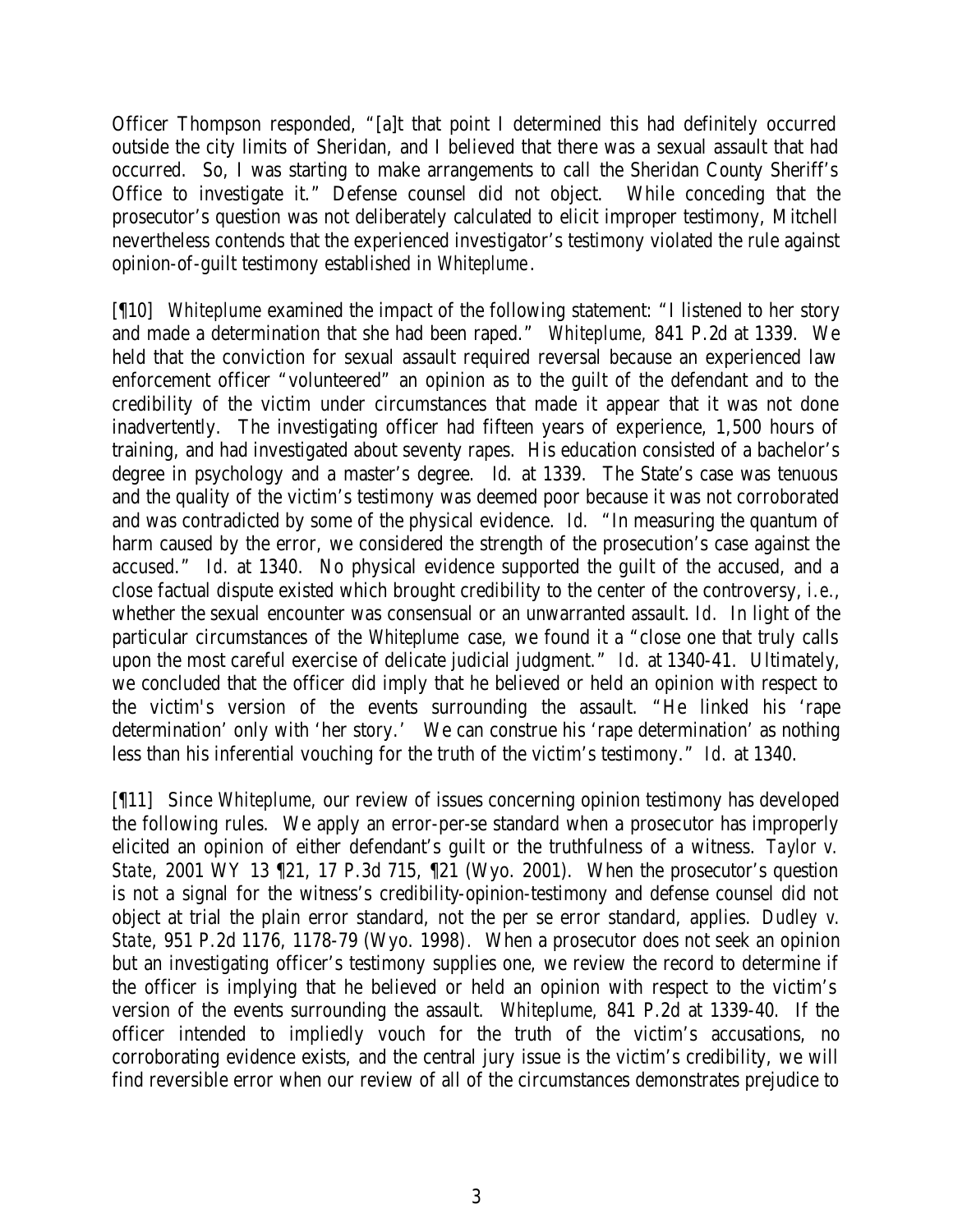Officer Thompson responded, "[a]t that point I determined this had definitely occurred outside the city limits of Sheridan, and I believed that there was a sexual assault that had occurred. So, I was starting to make arrangements to call the Sheridan County Sheriff's Office to investigate it." Defense counsel did not object. While conceding that the prosecutor's question was not deliberately calculated to elicit improper testimony, Mitchell nevertheless contends that the experienced investigator's testimony violated the rule against opinion-of-guilt testimony established in *Whiteplume*.

[¶10] *Whiteplume* examined the impact of the following statement: "I listened to her story and made a determination that she had been raped." *Whiteplume,* 841 P.2d at 1339. We held that the conviction for sexual assault required reversal because an experienced law enforcement officer "volunteered" an opinion as to the guilt of the defendant and to the credibility of the victim under circumstances that made it appear that it was not done inadvertently. The investigating officer had fifteen years of experience, 1,500 hours of training, and had investigated about seventy rapes. His education consisted of a bachelor's degree in psychology and a master's degree. *Id.* at 1339. The State's case was tenuous and the quality of the victim's testimony was deemed poor because it was not corroborated and was contradicted by some of the physical evidence. *Id.* "In measuring the quantum of harm caused by the error, we considered the strength of the prosecution's case against the accused." *Id.* at 1340. No physical evidence supported the guilt of the accused, and a close factual dispute existed which brought credibility to the center of the controversy, *i.e.*, whether the sexual encounter was consensual or an unwarranted assault. *Id.* In light of the particular circumstances of the *Whiteplume* case, we found it a "close one that truly calls upon the most careful exercise of delicate judicial judgment." *Id.* at 1340-41. Ultimately, we concluded that the officer did imply that he believed or held an opinion with respect to the victim's version of the events surrounding the assault. "He linked his 'rape determination' only with 'her story.' We can construe his 'rape determination' as nothing less than his inferential vouching for the truth of the victim's testimony." *Id.* at 1340.

[¶11] Since *Whiteplume,* our review of issues concerning opinion testimony has developed the following rules. We apply an error-per-se standard when a prosecutor has improperly elicited an opinion of either defendant's guilt or the truthfulness of a witness. *Taylor v. State,* 2001 WY 13 ¶21, 17 P.3d 715, ¶21 (Wyo. 2001). When the prosecutor's question is not a signal for the witness's credibility-opinion-testimony and defense counsel did not object at trial the plain error standard, not the per se error standard, applies. *Dudley v. State*, 951 P.2d 1176, 1178-79 (Wyo. 1998)*.* When a prosecutor does not seek an opinion but an investigating officer's testimony supplies one, we review the record to determine if the officer is implying that he believed or held an opinion with respect to the victim's version of the events surrounding the assault. *Whiteplume,* 841 P.2d at 1339-40. If the officer intended to impliedly vouch for the truth of the victim's accusations, no corroborating evidence exists, and the central jury issue is the victim's credibility, we will find reversible error when our review of all of the circumstances demonstrates prejudice to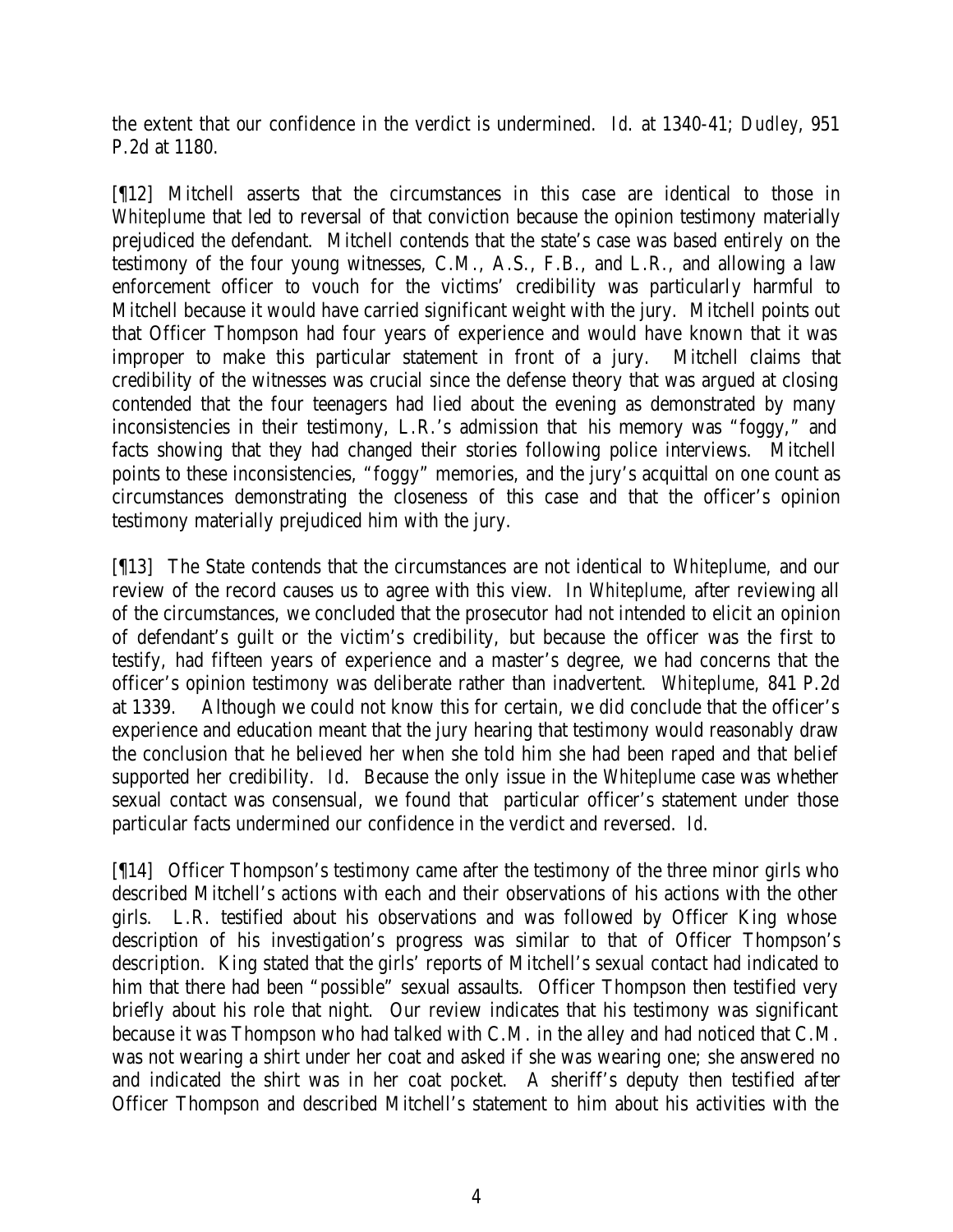the extent that our confidence in the verdict is undermined. *Id*. at 1340-41; *Dudley*, 951 P.2d at 1180.

[¶12] Mitchell asserts that the circumstances in this case are identical to those in *Whiteplume* that led to reversal of that conviction because the opinion testimony materially prejudiced the defendant. Mitchell contends that the state's case was based entirely on the testimony of the four young witnesses, C.M., A.S., F.B., and L.R., and allowing a law enforcement officer to vouch for the victims' credibility was particularly harmful to Mitchell because it would have carried significant weight with the jury. Mitchell points out that Officer Thompson had four years of experience and would have known that it was improper to make this particular statement in front of a jury. Mitchell claims that credibility of the witnesses was crucial since the defense theory that was argued at closing contended that the four teenagers had lied about the evening as demonstrated by many inconsistencies in their testimony, L.R.'s admission that his memory was "foggy," and facts showing that they had changed their stories following police interviews. Mitchell points to these inconsistencies, "foggy" memories, and the jury's acquittal on one count as circumstances demonstrating the closeness of this case and that the officer's opinion testimony materially prejudiced him with the jury.

[¶13] The State contends that the circumstances are not identical to *Whiteplume,* and our review of the record causes us to agree with this view*.* In *Whiteplume,* after reviewing all of the circumstances, we concluded that the prosecutor had not intended to elicit an opinion of defendant's guilt or the victim's credibility, but because the officer was the first to testify, had fifteen years of experience and a master's degree, we had concerns that the officer's opinion testimony was deliberate rather than inadvertent. *Whiteplume,* 841 P.2d at 1339. Although we could not know this for certain, we did conclude that the officer's experience and education meant that the jury hearing that testimony would reasonably draw the conclusion that he believed her when she told him she had been raped and that belief supported her credibility. *Id.* Because the only issue in the *Whiteplume* case was whether sexual contact was consensual, we found that particular officer's statement under those particular facts undermined our confidence in the verdict and reversed. *Id.*

[¶14] Officer Thompson's testimony came after the testimony of the three minor girls who described Mitchell's actions with each and their observations of his actions with the other girls. L.R. testified about his observations and was followed by Officer King whose description of his investigation's progress was similar to that of Officer Thompson's description. King stated that the girls' reports of Mitchell's sexual contact had indicated to him that there had been "possible" sexual assaults. Officer Thompson then testified very briefly about his role that night. Our review indicates that his testimony was significant because it was Thompson who had talked with C.M. in the alley and had noticed that C.M. was not wearing a shirt under her coat and asked if she was wearing one; she answered no and indicated the shirt was in her coat pocket. A sheriff's deputy then testified after Officer Thompson and described Mitchell's statement to him about his activities with the